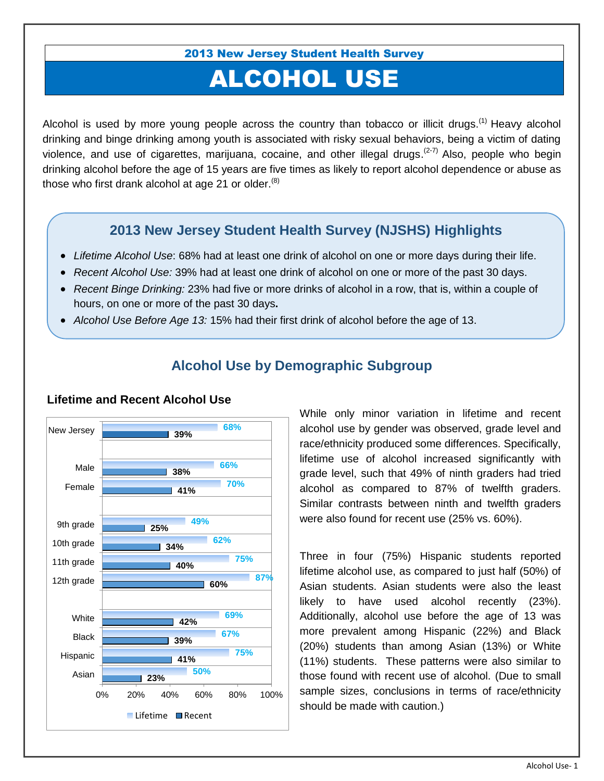2013 New Jersey Student Health Survey

# ALCOHOL USE

Alcohol is used by more young people across the country than tobacco or illicit drugs.<sup>(1)</sup> Heavy alcohol drinking and binge drinking among youth is associated with risky sexual behaviors, being a victim of dating violence, and use of cigarettes, marijuana, cocaine, and other illegal drugs.<sup>( $2-7$ )</sup> Also, people who begin drinking alcohol before the age of 15 years are five times as likely to report alcohol dependence or abuse as those who first drank alcohol at age 21 or older. $(8)$ 

#### **2013 New Jersey Student Health Survey (NJSHS) Highlights**

- *Lifetime Alcohol Use*: 68% had at least one drink of alcohol on one or more days during their life.
- *Recent Alcohol Use:* 39% had at least one drink of alcohol on one or more of the past 30 days.
- *Recent Binge Drinking:* 23% had five or more drinks of alcohol in a row, that is, within a couple of hours, on one or more of the past 30 days**.**
- *Alcohol Use Before Age 13:* 15% had their first drink of alcohol before the age of 13.



## **Alcohol Use by Demographic Subgroup**

While only minor variation in lifetime and recent alcohol use by gender was observed, grade level and race/ethnicity produced some differences. Specifically, lifetime use of alcohol increased significantly with grade level, such that 49% of ninth graders had tried alcohol as compared to 87% of twelfth graders. Similar contrasts between ninth and twelfth graders were also found for recent use (25% vs. 60%).

Three in four (75%) Hispanic students reported lifetime alcohol use, as compared to just half (50%) of Asian students. Asian students were also the least likely to have used alcohol recently (23%). Additionally, alcohol use before the age of 13 was more prevalent among Hispanic (22%) and Black (20%) students than among Asian (13%) or White (11%) students. These patterns were also similar to those found with recent use of alcohol. (Due to small sample sizes, conclusions in terms of race/ethnicity should be made with caution.)